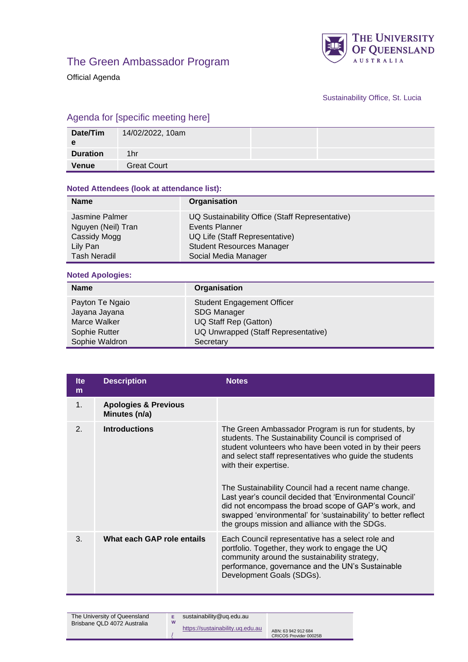

Official Agenda



Sustainability Office, St. Lucia

## Agenda for [specific meeting here]

| Date/Tim        | 14/02/2022, 10am   |  |
|-----------------|--------------------|--|
| <b>Duration</b> | 1hr                |  |
| <b>Venue</b>    | <b>Great Court</b> |  |

## **Noted Attendees (look at attendance list):**

| <b>Name</b>         | Organisation                                    |
|---------------------|-------------------------------------------------|
| Jasmine Palmer      | UQ Sustainability Office (Staff Representative) |
| Nguyen (Neil) Tran  | Events Planner                                  |
| Cassidy Mogg        | UQ Life (Staff Representative)                  |
| Lily Pan            | <b>Student Resources Manager</b>                |
| <b>Tash Neradil</b> | Social Media Manager                            |

## **Noted Apologies:**

| <b>Name</b>                                                                         | Organisation                                                                                                                         |
|-------------------------------------------------------------------------------------|--------------------------------------------------------------------------------------------------------------------------------------|
| Payton Te Ngaio<br>Jayana Jayana<br>Marce Walker<br>Sophie Rutter<br>Sophie Waldron | <b>Student Engagement Officer</b><br><b>SDG Manager</b><br>UQ Staff Rep (Gatton)<br>UQ Unwrapped (Staff Representative)<br>Secretary |

| <b>Ite</b><br>m | <b>Description</b>                               | <b>Notes</b>                                                                                                                                                                                                                                                                                                                                                                                                                                                                                                                                                 |
|-----------------|--------------------------------------------------|--------------------------------------------------------------------------------------------------------------------------------------------------------------------------------------------------------------------------------------------------------------------------------------------------------------------------------------------------------------------------------------------------------------------------------------------------------------------------------------------------------------------------------------------------------------|
| 1.              | <b>Apologies &amp; Previous</b><br>Minutes (n/a) |                                                                                                                                                                                                                                                                                                                                                                                                                                                                                                                                                              |
| 2.              | <b>Introductions</b>                             | The Green Ambassador Program is run for students, by<br>students. The Sustainability Council is comprised of<br>student volunteers who have been voted in by their peers<br>and select staff representatives who guide the students<br>with their expertise.<br>The Sustainability Council had a recent name change.<br>Last year's council decided that 'Environmental Council'<br>did not encompass the broad scope of GAP's work, and<br>swapped 'environmental' for 'sustainability' to better reflect<br>the groups mission and alliance with the SDGs. |
| 3.              | What each GAP role entails                       | Each Council representative has a select role and<br>portfolio. Together, they work to engage the UQ<br>community around the sustainability strategy,<br>performance, governance and the UN's Sustainable<br>Development Goals (SDGs).                                                                                                                                                                                                                                                                                                                       |

| The University of Queensland<br>Brisbane QLD 4072 Australia | W | sustainability@ug.edu.au         |                                               |
|-------------------------------------------------------------|---|----------------------------------|-----------------------------------------------|
|                                                             |   | https://sustainability.ug.edu.au | ABN: 63 942 912 684<br>CRICOS Provider 00025B |